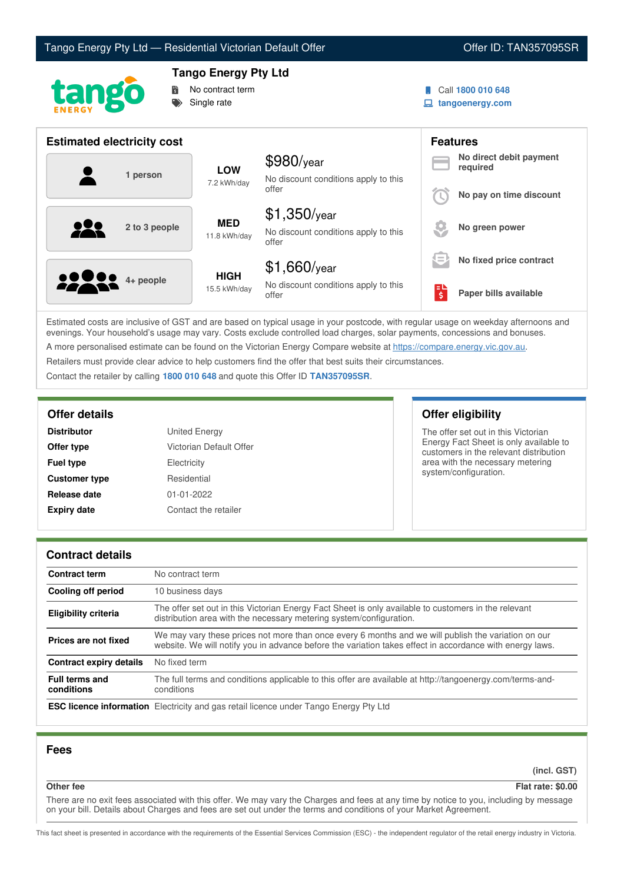



# **Tango Energy Pty Ltd**

**No contract term** Single rate

- Call **1800 010 648**
- **tangoenergy.com**

| <b>Estimated electricity cost</b>        |                             |                                                                 |                           | <b>Features</b>                     |
|------------------------------------------|-----------------------------|-----------------------------------------------------------------|---------------------------|-------------------------------------|
| 1 person                                 | <b>LOW</b><br>7.2 kWh/day   | $$980$ /year<br>No discount conditions apply to this            |                           | No direct debit payment<br>required |
|                                          |                             | offer                                                           |                           | No pay on time discount             |
| $\bullet\bullet\bullet$<br>2 to 3 people | <b>MED</b><br>11.8 kWh/day  | $$1,350$ /year<br>No discount conditions apply to this<br>offer |                           | No green power                      |
|                                          |                             | $$1,660$ /year                                                  | $\equiv$                  | No fixed price contract             |
| <b>80000</b> 4+ people                   | <b>HIGH</b><br>15.5 kWh/day | No discount conditions apply to this<br>offer                   | ЕI<br>$\ddot{\bm{\zeta}}$ | Paper bills available               |

Estimated costs are inclusive of GST and are based on typical usage in your postcode, with regular usage on weekday afternoons and evenings. Your household's usage may vary. Costs exclude controlled load charges, solar payments, concessions and bonuses. A more personalised estimate can be found on the Victorian Energy Compare website at <https://compare.energy.vic.gov.au>.

Retailers must provide clear advice to help customers find the offer that best suits their circumstances.

Contact the retailer by calling **1800 010 648** and quote this Offer ID **TAN357095SR**.

| <b>Distributor</b>   | United Energy           |
|----------------------|-------------------------|
| Offer type           | Victorian Default Offer |
| <b>Fuel type</b>     | Electricity             |
| <b>Customer type</b> | Residential             |
| Release date         | $01 - 01 - 2022$        |
| <b>Expiry date</b>   | Contact the retailer    |

# **Offer details Offer eligibility**

The offer set out in this Victorian Energy Fact Sheet is only available to customers in the relevant distribution area with the necessary metering system/configuration.

## **Contract details**

| <b>Contract term</b>                | No contract term                                                                                                                                                                                                |  |
|-------------------------------------|-----------------------------------------------------------------------------------------------------------------------------------------------------------------------------------------------------------------|--|
| Cooling off period                  | 10 business days                                                                                                                                                                                                |  |
| <b>Eligibility criteria</b>         | The offer set out in this Victorian Energy Fact Sheet is only available to customers in the relevant<br>distribution area with the necessary metering system/configuration.                                     |  |
| Prices are not fixed                | We may vary these prices not more than once every 6 months and we will publish the variation on our<br>website. We will notify you in advance before the variation takes effect in accordance with energy laws. |  |
| Contract expiry details             | No fixed term                                                                                                                                                                                                   |  |
| <b>Full terms and</b><br>conditions | The full terms and conditions applicable to this offer are available at http://tangoenergy.com/terms-and-<br>conditions                                                                                         |  |
|                                     | <b>ESC licence information</b> Electricity and gas retail licence under Tango Energy Pty Ltd                                                                                                                    |  |

## **Fees**

**(incl. GST)**

**Other fee Flat rate: \$0.00**

There are no exit fees associated with this offer. We may vary the Charges and fees at any time by notice to you, including by message on your bill. Details about Charges and fees are set out under the terms and conditions of your Market Agreement.

This fact sheet is presented in accordance with the requirements of the Essential Services Commission (ESC) - the independent regulator of the retail energy industry in Victoria.